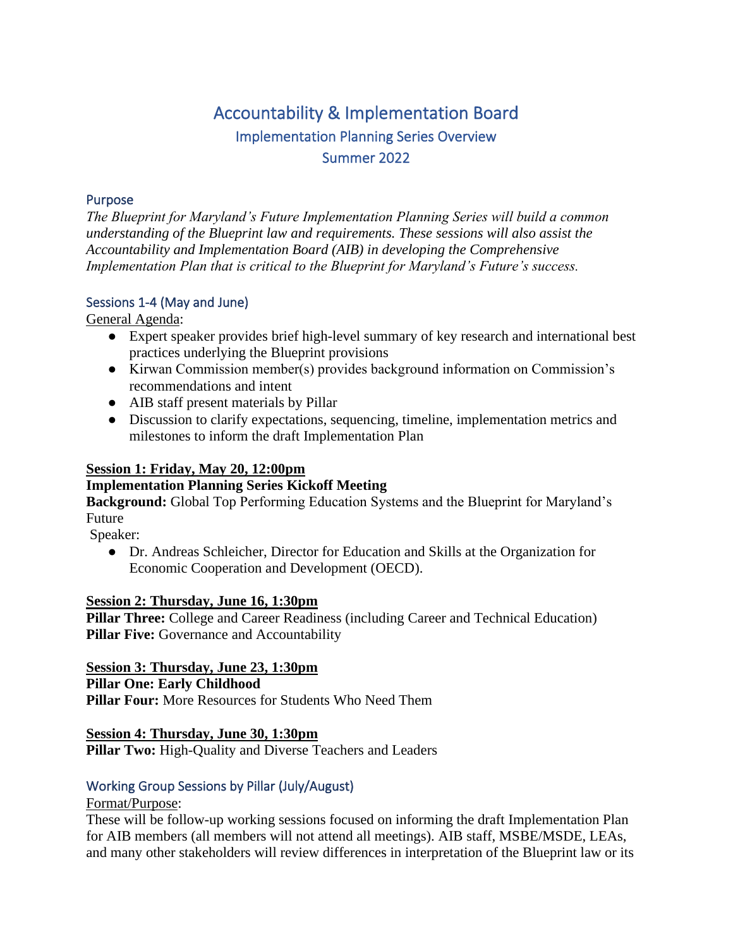# Accountability & Implementation Board Implementation Planning Series Overview Summer 2022

### Purpose

*The Blueprint for Maryland's Future Implementation Planning Series will build a common understanding of the Blueprint law and requirements. These sessions will also assist the Accountability and Implementation Board (AIB) in developing the Comprehensive Implementation Plan that is critical to the Blueprint for Maryland's Future's success.* 

# Sessions 1-4 (May and June)

General Agenda:

- Expert speaker provides brief high-level summary of key research and international best practices underlying the Blueprint provisions
- Kirwan Commission member(s) provides background information on Commission's recommendations and intent
- AIB staff present materials by Pillar
- Discussion to clarify expectations, sequencing, timeline, implementation metrics and milestones to inform the draft Implementation Plan

## **Session 1: Friday, May 20, 12:00pm**

#### **Implementation Planning Series Kickoff Meeting**

**Background:** Global Top Performing Education Systems and the Blueprint for Maryland's Future

Speaker:

● Dr. Andreas Schleicher, Director for Education and Skills at the Organization for Economic Cooperation and Development (OECD).

#### **Session 2: Thursday, June 16, 1:30pm**

**Pillar Three:** College and Career Readiness (including Career and Technical Education) **Pillar Five:** Governance and Accountability

**Session 3: Thursday, June 23, 1:30pm Pillar One: Early Childhood Pillar Four:** More Resources for Students Who Need Them

**Session 4: Thursday, June 30, 1:30pm Pillar Two:** High-Quality and Diverse Teachers and Leaders

# Working Group Sessions by Pillar (July/August)

#### Format/Purpose:

These will be follow-up working sessions focused on informing the draft Implementation Plan for AIB members (all members will not attend all meetings). AIB staff, MSBE/MSDE, LEAs, and many other stakeholders will review differences in interpretation of the Blueprint law or its